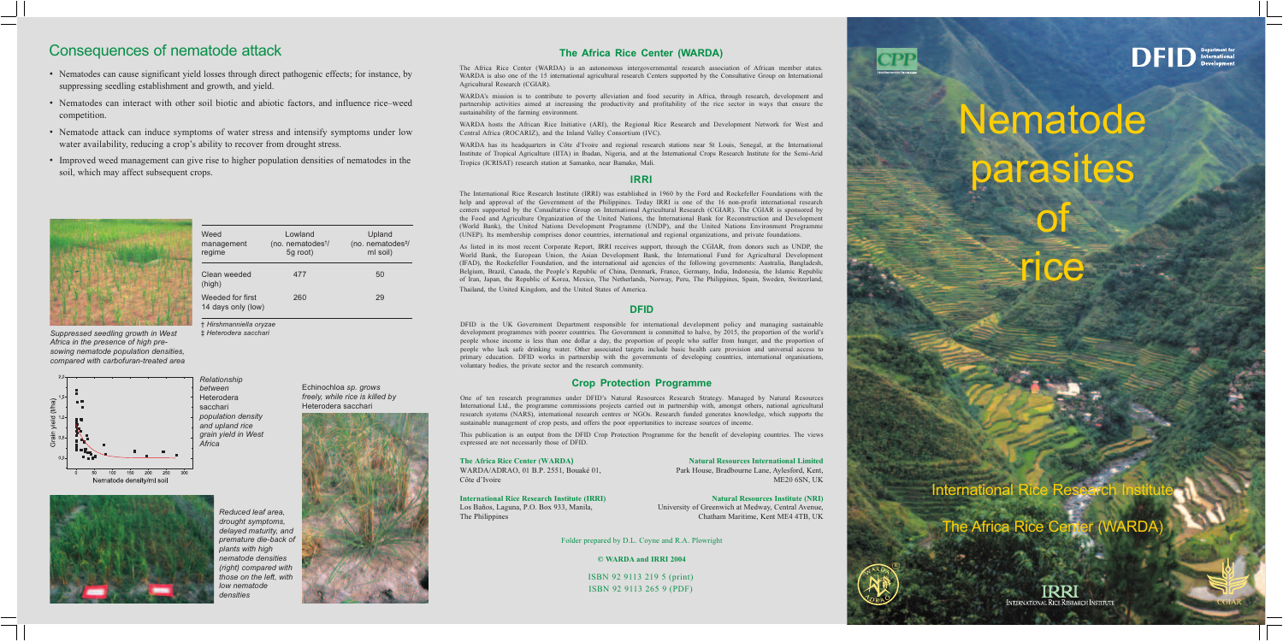## Consequences of nematode attack

- Nematodes can cause significant yield losses through direct pathogenic effects; for instance, by suppressing seedling establishment and growth, and yield.
- Nematodes can interact with other soil biotic and abiotic factors, and influence rice–weed competition.
- Nematode attack can induce symptoms of water stress and intensify symptoms under low water availability, reducing a crop's ability to recover from drought stress.
- Improved weed management can give rise to higher population densities of nematodes in the soil, which may affect subsequent crops.

Weed



| Suppressed seedling growth in West    |
|---------------------------------------|
| Africa in the presence of high pre-   |
| sowing nematode population densities, |
| compared with carbofuran-treated area |







Reduced leaf area. drought symptoms, delayed maturity, and premature die-back of plants with high nematode densities (right) compared with those on the left, with low nematode densities

Echinochloa sp. grows freely, while rice is killed by Heterodera sacchari

Upland



## The Africa Rice Center (WARDA)

The Africa Rice Center (WARDA) is an autonomous intergovernmental research association of African member states. WARDA is also one of the 15 international agricultural research Centers supported by the Consultative Group on International Agricultural Research (CGIAR).

WARDA's mission is to contribute to poverty alleviation and food security in Africa, through research, development and partnership activities aimed at increasing the productivity and profitability of the rice sector in ways that ensure the sustainability of the farming environment.

WARDA hosts the African Rice Initiative (ARI), the Regional Rice Research and Development Network for West and Central Africa (ROCARIZ), and the Inland Valley Consortium (IVC).

WARDA has its headquarters in Côte d'Ivoire and regional research stations near St Louis, Senegal, at the International Institute of Tropical Agriculture (IITA) in Ibadan, Nigeria, and at the International Crops Research Institute for the Semi-Arid Tropics (ICRISAT) research station at Samanko, near Bamako, Mali.

#### **IRRI**

The International Rice Research Institute (IRRI) was established in 1960 by the Ford and Rockefeller Foundations with the help and approval of the Government of the Philippines. Today IRRI is one of the 16 non-profit international research centers supported by the Consultative Group on International Agricultural Research (CGIAR). The CGIAR is sponsored by the Food and Agriculture Organization of the United Nations, the International Bank for Reconstruction and Development (World Bank), the United Nations Development Programme (UNDP), and the United Nations Environment Programme (UNEP). Its membership comprises donor countries, international and regional organizations, and private foundations.

As listed in its most recent Corporate Report, IRRI receives support, through the CGIAR, from donors such as UNDP, the World Bank, the European Union, the Asian Development Bank, the International Fund for Agricultural Development (IFAD), the Rockefeller Foundation, and the international aid agencies of the following governments: Australia, Bangladesh, Belgium, Brazil, Canada, the People's Republic of China, Denmark, France, Germany, India, Indonesia, the Islamic Republic of Iran, Japan, the Republic of Korea, Mexico, The Netherlands, Norway, Peru, The Philippines, Spain, Sweden, Switzerland, Thailand, the United Kingdom, and the United States of America.

#### **DFID**

DFID is the UK Government Department responsible for international development policy and managing sustainable development programmes with poorer countries. The Government is committed to halve, by 2015, the proportion of the world's people whose income is less than one dollar a day, the proportion of people who suffer from hunger, and the proportion of people who lack safe drinking water. Other associated targets include basic health care provision and universal access to primary education. DFID works in partnership with the governments of developing countries, international organisations, voluntary bodies, the private sector and the research community.

## **Crop Protection Programme**

One of ten research programmes under DFID's Natural Resources Research Strategy. Managed by Natural Resources International Ltd., the programme commissions projects carried out in partnership with, amongst others, national agricultural research systems (NARS), international research centres or NGOs. Research funded generates knowledge, which supports the sustainable management of crop pests, and offers the poor opportunities to increase sources of income.

This publication is an output from the DFID Crop Protection Programme for the benefit of developing countries. The views expressed are not necessarily those of DFID.

#### The Africa Rice Center (WARDA) WARDA/ADRAO, 01 B.P. 2551, Bouaké 01, Côte d'Ivoire

**International Rice Research Institute (IRRI)** Los Baños, Laguna, P.O. Box 933, Manila, The Philippines

**Natural Resources International Limited** Park House, Bradbourne Lane, Aylesford, Kent, ME20 6SN, UK

**Natural Resources Institute (NRI)** University of Greenwich at Medway, Central Avenue, Chatham Maritime, Kent ME4 4TB, UK

Folder prepared by D.L. Coyne and R.A. Plowright

#### © WARDA and IRRI 2004

ISBN 92 9113 219 5 (print) ISBN 92 9113 265 9 (PDF)

(no. nematodes<sup>t</sup>/ (no. nematodes<sup>#/</sup> management regime 5g root) ml soil) Clean weeded 477 50 (high) 29 Weeded for first 260 14 days only (low)

Lowland

† Hirshmanniella oryzae ‡ Heterodera sacchari



Nematode parasites

International

The Africa Rice